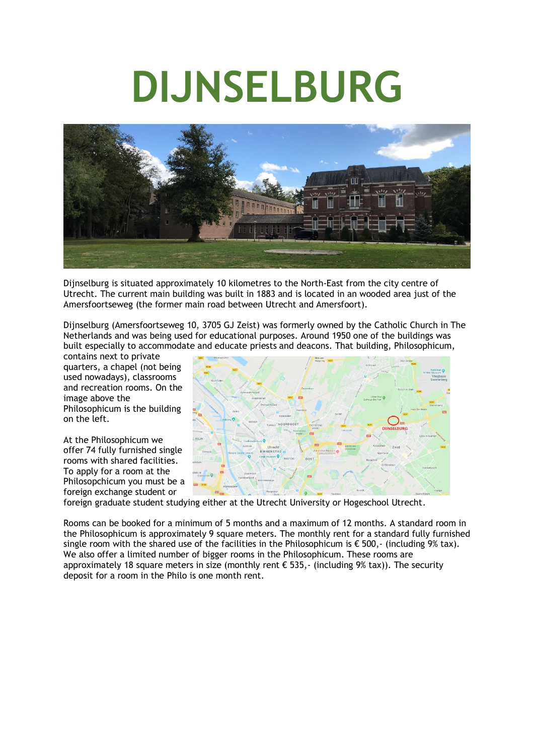# **DIJNSELBURG**



Dijnselburg is situated approximately 10 kilometres to the North-East from the city centre of Utrecht. The current main building was built in 1883 and is located in an wooded area just of the Amersfoortseweg (the former main road between Utrecht and Amersfoort).

Dijnselburg (Amersfoortseweg 10, 3705 GJ Zeist) was formerly owned by the Catholic Church in The Netherlands and was being used for educational purposes. Around 1950 one of the buildings was built especially to accommodate and educate priests and deacons. That building, Philosophicum,

contains next to private quarters, a chapel (not being used nowadays), classrooms and recreation rooms. On the image above the Philosophicum is the building on the left.

At the Philosophicum we offer 74 fully furnished single rooms with shared facilities. To apply for a room at the Philosopchicum you must be a foreign exchange student or



foreign graduate student studying either at the Utrecht University or Hogeschool Utrecht.

Rooms can be booked for a minimum of 5 months and a maximum of 12 months. A standard room in the Philosophicum is approximately 9 square meters. The monthly rent for a standard fully furnished single room with the shared use of the facilities in the Philosophicum is  $\epsilon$  500,- (including 9% tax). We also offer a limited number of bigger rooms in the Philosophicum. These rooms are approximately 18 square meters in size (monthly rent  $\epsilon$  535,- (including 9% tax)). The security deposit for a room in the Philo is one month rent.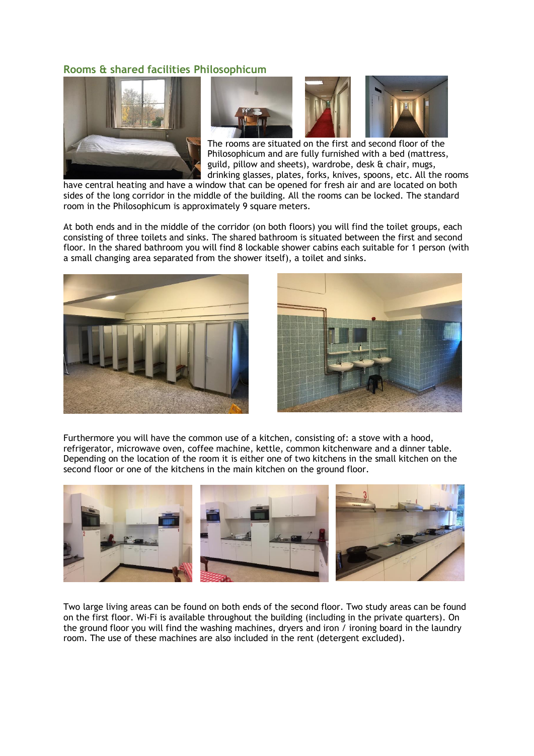## **Rooms & shared facilities Philosophicum**





The rooms are situated on the first and second floor of the Philosophicum and are fully furnished with a bed (mattress, guild, pillow and sheets), wardrobe, desk & chair, mugs, drinking glasses, plates, forks, knives, spoons, etc. All the rooms

have central heating and have a window that can be opened for fresh air and are located on both sides of the long corridor in the middle of the building. All the rooms can be locked. The standard room in the Philosophicum is approximately 9 square meters.

At both ends and in the middle of the corridor (on both floors) you will find the toilet groups, each consisting of three toilets and sinks. The shared bathroom is situated between the first and second floor. In the shared bathroom you will find 8 lockable shower cabins each suitable for 1 person (with a small changing area separated from the shower itself), a toilet and sinks.





Furthermore you will have the common use of a kitchen, consisting of: a stove with a hood, refrigerator, microwave oven, coffee machine, kettle, common kitchenware and a dinner table. Depending on the location of the room it is either one of two kitchens in the small kitchen on the second floor or one of the kitchens in the main kitchen on the ground floor.



Two large living areas can be found on both ends of the second floor. Two study areas can be found on the first floor. Wi-Fi is available throughout the building (including in the private quarters). On the ground floor you will find the washing machines, dryers and iron / ironing board in the laundry room. The use of these machines are also included in the rent (detergent excluded).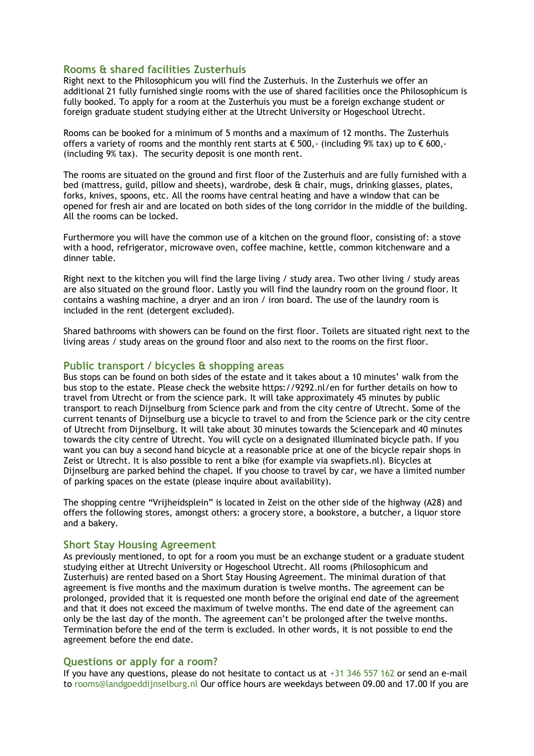### **Rooms & shared facilities Zusterhuis**

Right next to the Philosophicum you will find the Zusterhuis. In the Zusterhuis we offer an additional 21 fully furnished single rooms with the use of shared facilities once the Philosophicum is fully booked. To apply for a room at the Zusterhuis you must be a foreign exchange student or foreign graduate student studying either at the Utrecht University or Hogeschool Utrecht.

Rooms can be booked for a minimum of 5 months and a maximum of 12 months. The Zusterhuis offers a variety of rooms and the monthly rent starts at  $\epsilon$  500,- (including 9% tax) up to  $\epsilon$  600,-(including 9% tax). The security deposit is one month rent.

The rooms are situated on the ground and first floor of the Zusterhuis and are fully furnished with a bed (mattress, guild, pillow and sheets), wardrobe, desk & chair, mugs, drinking glasses, plates, forks, knives, spoons, etc. All the rooms have central heating and have a window that can be opened for fresh air and are located on both sides of the long corridor in the middle of the building. All the rooms can be locked.

Furthermore you will have the common use of a kitchen on the ground floor, consisting of: a stove with a hood, refrigerator, microwave oven, coffee machine, kettle, common kitchenware and a dinner table.

Right next to the kitchen you will find the large living / study area. Two other living / study areas are also situated on the ground floor. Lastly you will find the laundry room on the ground floor. It contains a washing machine, a dryer and an iron / iron board. The use of the laundry room is included in the rent (detergent excluded).

Shared bathrooms with showers can be found on the first floor. Toilets are situated right next to the living areas / study areas on the ground floor and also next to the rooms on the first floor.

#### **Public transport / bicycles & shopping areas**

Bus stops can be found on both sides of the estate and it takes about a 10 minutes' walk from the bus stop to the estate. Please check the website https://9292.nl/en for further details on how to travel from Utrecht or from the science park. It will take approximately 45 minutes by public transport to reach Dijnselburg from Science park and from the city centre of Utrecht. Some of the current tenants of Dijnselburg use a bicycle to travel to and from the Science park or the city centre of Utrecht from Dijnselburg. It will take about 30 minutes towards the Sciencepark and 40 minutes towards the city centre of Utrecht. You will cycle on a designated illuminated bicycle path. If you want you can buy a second hand bicycle at a reasonable price at one of the bicycle repair shops in Zeist or Utrecht. It is also possible to rent a bike (for example via swapfiets.nl). Bicycles at Dijnselburg are parked behind the chapel. If you choose to travel by car, we have a limited number of parking spaces on the estate (please inquire about availability).

The shopping centre "Vrijheidsplein" is located in Zeist on the other side of the highway (A28) and offers the following stores, amongst others: a grocery store, a bookstore, a butcher, a liquor store and a bakery.

#### **Short Stay Housing Agreement**

As previously mentioned, to opt for a room you must be an exchange student or a graduate student studying either at Utrecht University or Hogeschool Utrecht. All rooms (Philosophicum and Zusterhuis) are rented based on a Short Stay Housing Agreement. The minimal duration of that agreement is five months and the maximum duration is twelve months. The agreement can be prolonged, provided that it is requested one month before the original end date of the agreement and that it does not exceed the maximum of twelve months. The end date of the agreement can only be the last day of the month. The agreement can't be prolonged after the twelve months. Termination before the end of the term is excluded. In other words, it is not possible to end the agreement before the end date.

#### **Questions or apply for a room?**

If you have any questions, please do not hesitate to contact us at  $+31$  346 557 162 or send an e-mail to rooms@landgoeddijnselburg.nl Our office hours are weekdays between 09.00 and 17.00 If you are